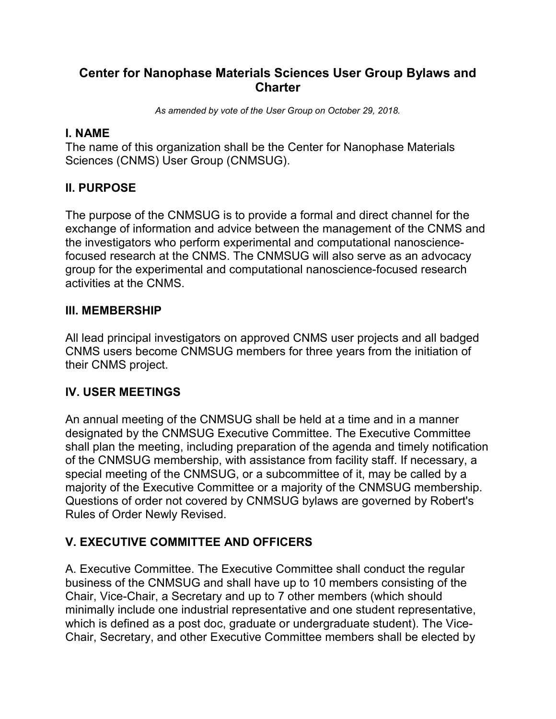# **Center for Nanophase Materials Sciences User Group Bylaws and Charter**

*As amended by vote of the User Group on October 29, 2018.*

### **I. NAME**

The name of this organization shall be the Center for Nanophase Materials Sciences (CNMS) User Group (CNMSUG).

# **II. PURPOSE**

The purpose of the CNMSUG is to provide a formal and direct channel for the exchange of information and advice between the management of the CNMS and the investigators who perform experimental and computational nanosciencefocused research at the CNMS. The CNMSUG will also serve as an advocacy group for the experimental and computational nanoscience-focused research activities at the CNMS.

#### **III. MEMBERSHIP**

All lead principal investigators on approved CNMS user projects and all badged CNMS users become CNMSUG members for three years from the initiation of their CNMS project.

#### **IV. USER MEETINGS**

An annual meeting of the CNMSUG shall be held at a time and in a manner designated by the CNMSUG Executive Committee. The Executive Committee shall plan the meeting, including preparation of the agenda and timely notification of the CNMSUG membership, with assistance from facility staff. If necessary, a special meeting of the CNMSUG, or a subcommittee of it, may be called by a majority of the Executive Committee or a majority of the CNMSUG membership. Questions of order not covered by CNMSUG bylaws are governed by Robert's Rules of Order Newly Revised.

## **V. EXECUTIVE COMMITTEE AND OFFICERS**

A. Executive Committee. The Executive Committee shall conduct the regular business of the CNMSUG and shall have up to 10 members consisting of the Chair, Vice-Chair, a Secretary and up to 7 other members (which should minimally include one industrial representative and one student representative, which is defined as a post doc, graduate or undergraduate student). The Vice-Chair, Secretary, and other Executive Committee members shall be elected by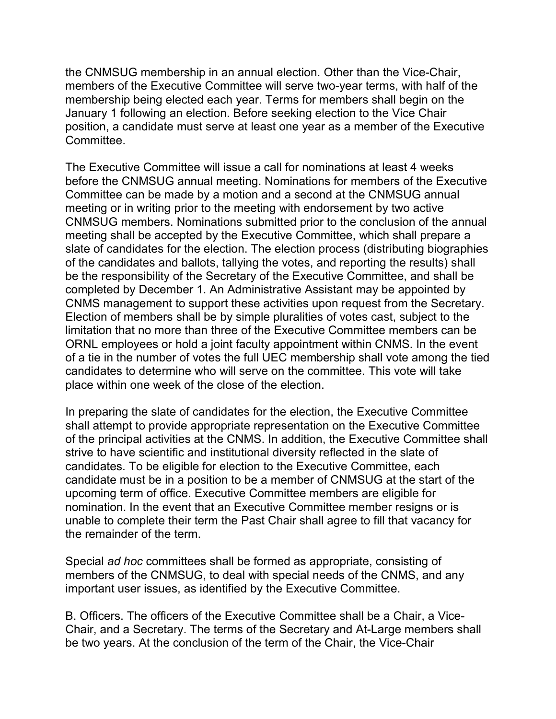the CNMSUG membership in an annual election. Other than the Vice-Chair, members of the Executive Committee will serve two-year terms, with half of the membership being elected each year. Terms for members shall begin on the January 1 following an election. Before seeking election to the Vice Chair position, a candidate must serve at least one year as a member of the Executive Committee.

The Executive Committee will issue a call for nominations at least 4 weeks before the CNMSUG annual meeting. Nominations for members of the Executive Committee can be made by a motion and a second at the CNMSUG annual meeting or in writing prior to the meeting with endorsement by two active CNMSUG members. Nominations submitted prior to the conclusion of the annual meeting shall be accepted by the Executive Committee, which shall prepare a slate of candidates for the election. The election process (distributing biographies of the candidates and ballots, tallying the votes, and reporting the results) shall be the responsibility of the Secretary of the Executive Committee, and shall be completed by December 1. An Administrative Assistant may be appointed by CNMS management to support these activities upon request from the Secretary. Election of members shall be by simple pluralities of votes cast, subject to the limitation that no more than three of the Executive Committee members can be ORNL employees or hold a joint faculty appointment within CNMS. In the event of a tie in the number of votes the full UEC membership shall vote among the tied candidates to determine who will serve on the committee. This vote will take place within one week of the close of the election.

In preparing the slate of candidates for the election, the Executive Committee shall attempt to provide appropriate representation on the Executive Committee of the principal activities at the CNMS. In addition, the Executive Committee shall strive to have scientific and institutional diversity reflected in the slate of candidates. To be eligible for election to the Executive Committee, each candidate must be in a position to be a member of CNMSUG at the start of the upcoming term of office. Executive Committee members are eligible for nomination. In the event that an Executive Committee member resigns or is unable to complete their term the Past Chair shall agree to fill that vacancy for the remainder of the term.

Special *ad hoc* committees shall be formed as appropriate, consisting of members of the CNMSUG, to deal with special needs of the CNMS, and any important user issues, as identified by the Executive Committee.

B. Officers. The officers of the Executive Committee shall be a Chair, a Vice-Chair, and a Secretary. The terms of the Secretary and At-Large members shall be two years. At the conclusion of the term of the Chair, the Vice-Chair